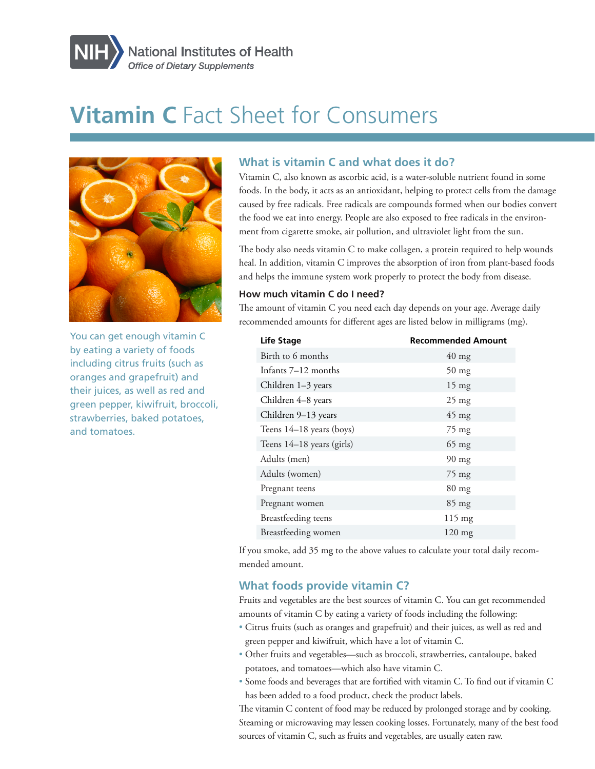

# **Vitamin C** Fact Sheet for Consumers



You can get enough vitamin C by eating a variety of foods including citrus fruits (such as oranges and grapefruit) and their juices, as well as red and green pepper, kiwifruit, broccoli, strawberries, baked potatoes, and tomatoes.

## **What is vitamin C and what does it do?**

Vitamin C, also known as ascorbic acid, is a water-soluble nutrient found in some foods. In the body, it acts as an antioxidant, helping to protect cells from the damage caused by free radicals. Free radicals are compounds formed when our bodies convert the food we eat into energy. People are also exposed to free radicals in the environment from cigarette smoke, air pollution, and ultraviolet light from the sun.

The body also needs vitamin C to make collagen, a protein required to help wounds heal. In addition, vitamin C improves the absorption of iron from plant-based foods and helps the immune system work properly to protect the body from disease.

### **How much vitamin C do I need?**

The amount of vitamin C you need each day depends on your age. Average daily recommended amounts for different ages are listed below in milligrams (mg).

| Life Stage                | <b>Recommended Amount</b> |
|---------------------------|---------------------------|
| Birth to 6 months         | $40 \text{ mg}$           |
| Infants 7–12 months       | $50 \text{ mg}$           |
| Children 1–3 years        | $15 \text{ mg}$           |
| Children 4–8 years        | $25 \text{ mg}$           |
| Children 9-13 years       | $45 \text{ mg}$           |
| Teens 14-18 years (boys)  | 75 mg                     |
| Teens 14–18 years (girls) | $65$ mg                   |
| Adults (men)              | $90 \text{ mg}$           |
| Adults (women)            | 75 mg                     |
| Pregnant teens            | $80$ mg                   |
| Pregnant women            | $85 \text{ mg}$           |
| Breastfeeding teens       | $115 \text{ mg}$          |
| Breastfeeding women       | $120 \text{ mg}$          |

If you smoke, add 35 mg to the above values to calculate your total daily recommended amount.

## **What foods provide vitamin C?**

Fruits and vegetables are the best sources of vitamin C. You can get recommended amounts of vitamin C by eating a variety of foods including the following:

- Citrus fruits (such as oranges and grapefruit) and their juices, as well as red and green pepper and kiwifruit, which have a lot of vitamin C.
- Other fruits and vegetables—such as broccoli, strawberries, cantaloupe, baked potatoes, and tomatoes—which also have vitamin C.
- Some foods and beverages that are fortified with vitamin C. To find out if vitamin C has been added to a food product, check the product labels.

The vitamin C content of food may be reduced by prolonged storage and by cooking. Steaming or microwaving may lessen cooking losses. Fortunately, many of the best food sources of vitamin C, such as fruits and vegetables, are usually eaten raw.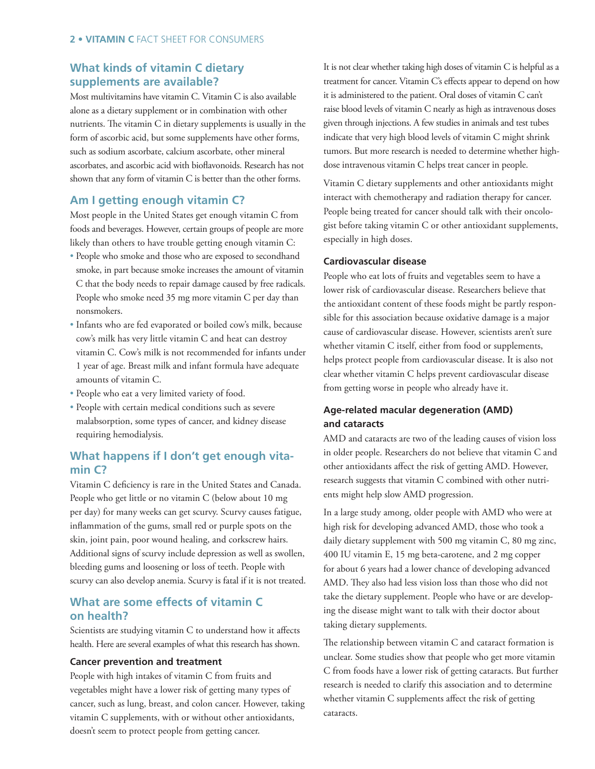## **What kinds of vitamin C dietary supplements are available?**

Most multivitamins have vitamin C. Vitamin C is also available alone as a dietary supplement or in combination with other nutrients. The vitamin C in dietary supplements is usually in the form of ascorbic acid, but some supplements have other forms, such as sodium ascorbate, calcium ascorbate, other mineral ascorbates, and ascorbic acid with bioflavonoids. Research has not shown that any form of vitamin C is better than the other forms.

## **Am I getting enough vitamin C?**

Most people in the United States get enough vitamin C from foods and beverages. However, certain groups of people are more likely than others to have trouble getting enough vitamin C:

- People who smoke and those who are exposed to secondhand smoke, in part because smoke increases the amount of vitamin C that the body needs to repair damage caused by free radicals. People who smoke need 35 mg more vitamin C per day than nonsmokers.
- Infants who are fed evaporated or boiled cow's milk, because cow's milk has very little vitamin C and heat can destroy vitamin C. Cow's milk is not recommended for infants under 1 year of age. Breast milk and infant formula have adequate amounts of vitamin C.
- People who eat a very limited variety of food.
- People with certain medical conditions such as severe malabsorption, some types of cancer, and kidney disease requiring hemodialysis.

## **What happens if I don't get enough vitamin C?**

Vitamin C deficiency is rare in the United States and Canada. People who get little or no vitamin C (below about 10 mg per day) for many weeks can get scurvy. Scurvy causes fatigue, inflammation of the gums, small red or purple spots on the skin, joint pain, poor wound healing, and corkscrew hairs. Additional signs of scurvy include depression as well as swollen, bleeding gums and loosening or loss of teeth. People with scurvy can also develop anemia. Scurvy is fatal if it is not treated.

## **What are some effects of vitamin C on health?**

Scientists are studying vitamin C to understand how it affects health. Here are several examples of what this research has shown.

#### **Cancer prevention and treatment**

People with high intakes of vitamin C from fruits and vegetables might have a lower risk of getting many types of cancer, such as lung, breast, and colon cancer. However, taking vitamin C supplements, with or without other antioxidants, doesn't seem to protect people from getting cancer.

It is not clear whether taking high doses of vitamin C is helpful as a treatment for cancer. Vitamin C's effects appear to depend on how it is administered to the patient. Oral doses of vitamin C can't raise blood levels of vitamin C nearly as high as intravenous doses given through injections. A few studies in animals and test tubes indicate that very high blood levels of vitamin C might shrink tumors. But more research is needed to determine whether highdose intravenous vitamin C helps treat cancer in people.

Vitamin C dietary supplements and other antioxidants might interact with chemotherapy and radiation therapy for cancer. People being treated for cancer should talk with their oncologist before taking vitamin C or other antioxidant supplements, especially in high doses.

#### **Cardiovascular disease**

People who eat lots of fruits and vegetables seem to have a lower risk of cardiovascular disease. Researchers believe that the antioxidant content of these foods might be partly responsible for this association because oxidative damage is a major cause of cardiovascular disease. However, scientists aren't sure whether vitamin C itself, either from food or supplements, helps protect people from cardiovascular disease. It is also not clear whether vitamin C helps prevent cardiovascular disease from getting worse in people who already have it.

## **Age-related macular degeneration (AMD) and cataracts**

AMD and cataracts are two of the leading causes of vision loss in older people. Researchers do not believe that vitamin C and other antioxidants affect the risk of getting AMD. However, research suggests that vitamin C combined with other nutrients might help slow AMD progression.

In a large study among, older people with AMD who were at high risk for developing advanced AMD, those who took a daily dietary supplement with 500 mg vitamin C, 80 mg zinc, 400 IU vitamin E, 15 mg beta-carotene, and 2 mg copper for about 6 years had a lower chance of developing advanced AMD. They also had less vision loss than those who did not take the dietary supplement. People who have or are developing the disease might want to talk with their doctor about taking dietary supplements.

The relationship between vitamin C and cataract formation is unclear. Some studies show that people who get more vitamin C from foods have a lower risk of getting cataracts. But further research is needed to clarify this association and to determine whether vitamin C supplements affect the risk of getting cataracts.